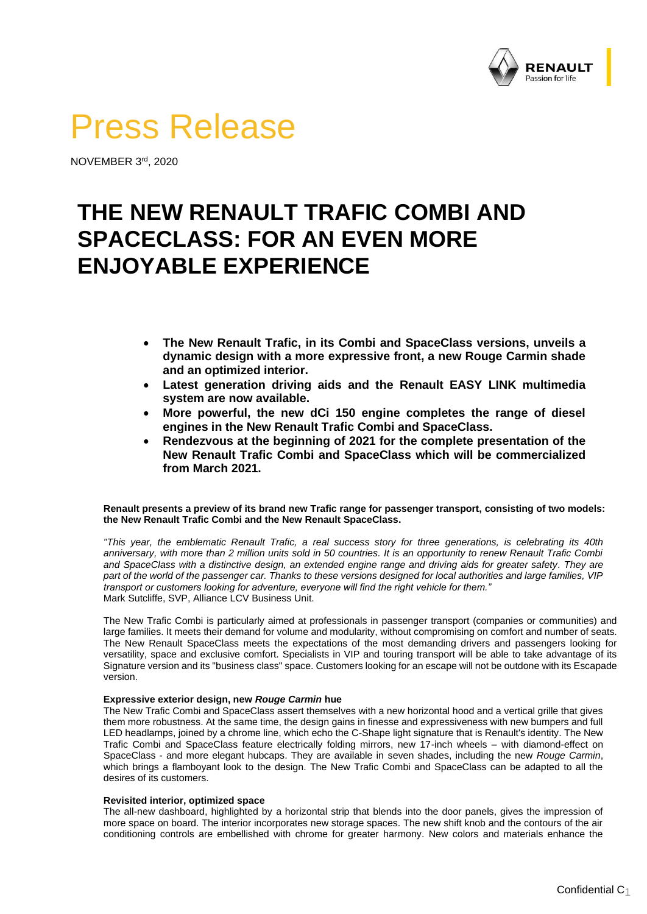

# Press Release

NOVEMBER 3 rd , 2020

# **THE NEW RENAULT TRAFIC COMBI AND SPACECLASS: FOR AN EVEN MORE ENJOYABLE EXPERIENCE**

- **The New Renault Trafic, in its Combi and SpaceClass versions, unveils a dynamic design with a more expressive front, a new Rouge Carmin shade and an optimized interior.**
- **Latest generation driving aids and the Renault EASY LINK multimedia system are now available.**
- **More powerful, the new dCi 150 engine completes the range of diesel engines in the New Renault Trafic Combi and SpaceClass.**
- **Rendezvous at the beginning of 2021 for the complete presentation of the New Renault Trafic Combi and SpaceClass which will be commercialized from March 2021.**

# **Renault presents a preview of its brand new Trafic range for passenger transport, consisting of two models: the New Renault Trafic Combi and the New Renault SpaceClass.**

*"This year, the emblematic Renault Trafic, a real success story for three generations, is celebrating its 40th*  anniversary, with more than 2 million units sold in 50 countries. It is an opportunity to renew Renault Trafic Combi *and SpaceClass with a distinctive design, an extended engine range and driving aids for greater safety. They are part of the world of the passenger car. Thanks to these versions designed for local authorities and large families, VIP transport or customers looking for adventure, everyone will find the right vehicle for them."* Mark Sutcliffe, SVP, Alliance LCV Business Unit.

The New Trafic Combi is particularly aimed at professionals in passenger transport (companies or communities) and large families. It meets their demand for volume and modularity, without compromising on comfort and number of seats. The New Renault SpaceClass meets the expectations of the most demanding drivers and passengers looking for versatility, space and exclusive comfort. Specialists in VIP and touring transport will be able to take advantage of its Signature version and its "business class" space. Customers looking for an escape will not be outdone with its Escapade version.

# **Expressive exterior design, new** *Rouge Carmin* **hue**

The New Trafic Combi and SpaceClass assert themselves with a new horizontal hood and a vertical grille that gives them more robustness. At the same time, the design gains in finesse and expressiveness with new bumpers and full LED headlamps, joined by a chrome line, which echo the C-Shape light signature that is Renault's identity. The New Trafic Combi and SpaceClass feature electrically folding mirrors, new 17-inch wheels – with diamond-effect on SpaceClass - and more elegant hubcaps. They are available in seven shades, including the new *Rouge Carmin*, which brings a flamboyant look to the design. The New Trafic Combi and SpaceClass can be adapted to all the desires of its customers.

# **Revisited interior, optimized space**

The all-new dashboard, highlighted by a horizontal strip that blends into the door panels, gives the impression of more space on board. The interior incorporates new storage spaces. The new shift knob and the contours of the air conditioning controls are embellished with chrome for greater harmony. New colors and materials enhance the